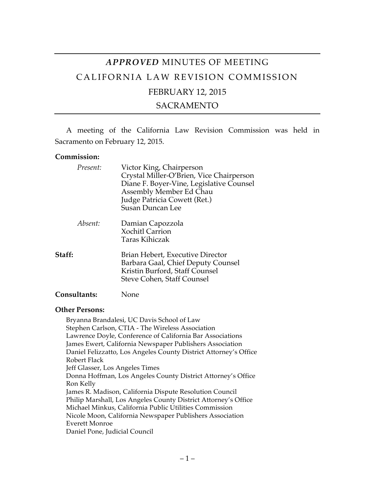# *APPROVED* MINUTES OF MEETING CALIFORNIA LAW REVISION COMMISSION FEBRUARY 12, 2015

## SACRAMENTO

A meeting of the California Law Revision Commission was held in Sacramento on February 12, 2015.

#### **Commission:**

| Present:            | Victor King, Chairperson<br>Crystal Miller-O'Brien, Vice Chairperson<br>Diane F. Boyer-Vine, Legislative Counsel<br>Assembly Member Ed Chau<br>Judge Patricia Cowett (Ret.)<br><b>Susan Duncan Lee</b> |
|---------------------|--------------------------------------------------------------------------------------------------------------------------------------------------------------------------------------------------------|
| Absent:             | Damian Capozzola<br><b>Xochitl Carrion</b><br><b>Taras Kihiczak</b>                                                                                                                                    |
| Staff:              | Brian Hebert, Executive Director<br>Barbara Gaal, Chief Deputy Counsel<br>Kristin Burford, Staff Counsel<br>Steve Cohen, Staff Counsel                                                                 |
| <b>Consultants:</b> | None                                                                                                                                                                                                   |

## **Other Persons:**

Bryanna Brandalesi, UC Davis School of Law Stephen Carlson, CTIA - The Wireless Association Lawrence Doyle, Conference of California Bar Associations James Ewert, California Newspaper Publishers Association Daniel Felizzatto, Los Angeles County District Attorney's Office Robert Flack Jeff Glasser, Los Angeles Times Donna Hoffman, Los Angeles County District Attorney's Office Ron Kelly James R. Madison, California Dispute Resolution Council Philip Marshall, Los Angeles County District Attorney's Office Michael Minkus, California Public Utilities Commission Nicole Moon, California Newspaper Publishers Association Everett Monroe Daniel Pone, Judicial Council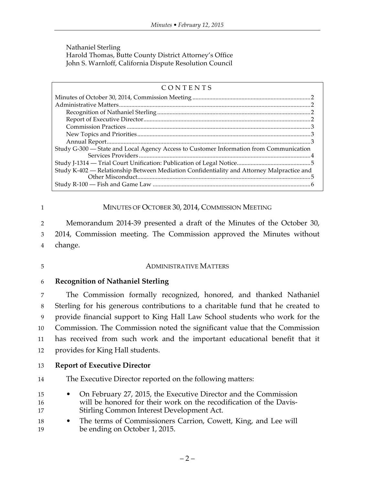Nathaniel Sterling Harold Thomas, Butte County District Attorney's Office John S. Warnloff, California Dispute Resolution Council

| CONTENTS                                                                                  |  |  |
|-------------------------------------------------------------------------------------------|--|--|
|                                                                                           |  |  |
|                                                                                           |  |  |
|                                                                                           |  |  |
|                                                                                           |  |  |
|                                                                                           |  |  |
|                                                                                           |  |  |
|                                                                                           |  |  |
| Study G-300 – State and Local Agency Access to Customer Information from Communication    |  |  |
|                                                                                           |  |  |
|                                                                                           |  |  |
| Study K-402 - Relationship Between Mediation Confidentiality and Attorney Malpractice and |  |  |
|                                                                                           |  |  |
|                                                                                           |  |  |

#### 1 MINUTES OF OCTOBER 30, 2014, COMMISSION MEETING

2 Memorandum 2014-39 presented a draft of the Minutes of the October 30, 3 2014, Commission meeting. The Commission approved the Minutes without 4 change.

#### 5 ADMINISTRATIVE MATTERS

#### 6 **Recognition of Nathaniel Sterling**

 The Commission formally recognized, honored, and thanked Nathaniel Sterling for his generous contributions to a charitable fund that he created to provide financial support to King Hall Law School students who work for the Commission. The Commission noted the significant value that the Commission has received from such work and the important educational benefit that it provides for King Hall students.

#### 13 **Report of Executive Director**

- 14 The Executive Director reported on the following matters:
- 15 On February 27, 2015, the Executive Director and the Commission 16 will be honored for their work on the recodification of the Davis-17 Stirling Common Interest Development Act.
- 18 The terms of Commissioners Carrion, Cowett, King, and Lee will 19 be ending on October 1, 2015.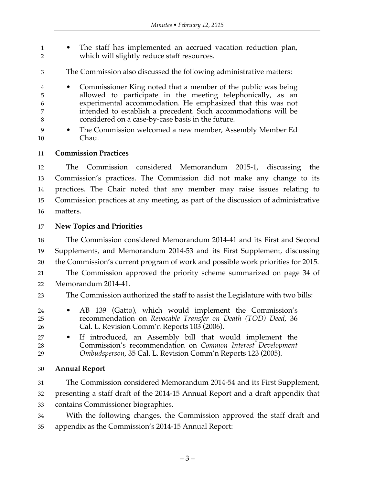- The staff has implemented an accrued vacation reduction plan, which will slightly reduce staff resources.
- The Commission also discussed the following administrative matters:
- Commissioner King noted that a member of the public was being allowed to participate in the meeting telephonically, as an experimental accommodation. He emphasized that this was not intended to establish a precedent. Such accommodations will be considered on a case-by-case basis in the future.
- The Commission welcomed a new member, Assembly Member Ed Chau.

### **Commission Practices**

 The Commission considered Memorandum 2015-1, discussing the Commission's practices. The Commission did not make any change to its practices. The Chair noted that any member may raise issues relating to Commission practices at any meeting, as part of the discussion of administrative matters.

## **New Topics and Priorities**

 The Commission considered Memorandum 2014-41 and its First and Second Supplements, and Memorandum 2014-53 and its First Supplement, discussing the Commission's current program of work and possible work priorities for 2015. The Commission approved the priority scheme summarized on page 34 of Memorandum 2014-41.

The Commission authorized the staff to assist the Legislature with two bills:

- AB 139 (Gatto), which would implement the Commission's recommendation on *Revocable Transfer on Death (TOD) Deed*, 36 Cal. L. Revision Comm'n Reports 103 (2006).
- If introduced, an Assembly bill that would implement the Commission's recommendation on *Common Interest Development Ombudsperson*, 35 Cal. L. Revision Comm'n Reports 123 (2005).

## **Annual Report**

 The Commission considered Memorandum 2014-54 and its First Supplement, presenting a staff draft of the 2014-15 Annual Report and a draft appendix that contains Commissioner biographies.

 With the following changes, the Commission approved the staff draft and appendix as the Commission's 2014-15 Annual Report: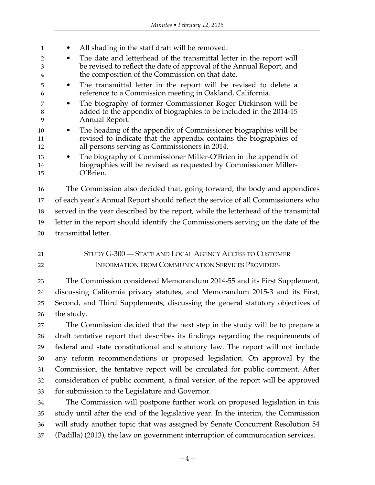| 1              | All shading in the staff draft will be removed.<br>٠                                                                                                                                               |  |  |
|----------------|----------------------------------------------------------------------------------------------------------------------------------------------------------------------------------------------------|--|--|
| 2              | The date and letterhead of the transmittal letter in the report will<br>$\bullet$                                                                                                                  |  |  |
| 3              | be revised to reflect the date of approval of the Annual Report, and<br>the composition of the Commission on that date.                                                                            |  |  |
| 5<br>6         | The transmittal letter in the report will be revised to delete a<br>$\bullet$<br>reference to a Commission meeting in Oakland, California.                                                         |  |  |
| 7<br>8<br>9    | The biography of former Commissioner Roger Dickinson will be<br>$\bullet$<br>added to the appendix of biographies to be included in the 2014-15<br>Annual Report.                                  |  |  |
| 10<br>11<br>12 | The heading of the appendix of Commissioner biographies will be<br>$\bullet$<br>revised to indicate that the appendix contains the biographies of<br>all persons serving as Commissioners in 2014. |  |  |
| 13<br>14<br>15 | The biography of Commissioner Miller-O'Brien in the appendix of<br>$\bullet$<br>biographies will be revised as requested by Commissioner Miller-<br>O'Brien.                                       |  |  |
| 16             | The Commission also decided that, going forward, the body and appendices                                                                                                                           |  |  |
| 17             | of each year's Annual Report should reflect the service of all Commissioners who                                                                                                                   |  |  |
| 18             | served in the year described by the report, while the letterhead of the transmittal                                                                                                                |  |  |

 letter in the report should identify the Commissioners serving on the date of the transmittal letter.

 STUDY G-300 — STATE AND LOCAL AGENCY ACCESS TO CUSTOMER INFORMATION FROM COMMUNICATION SERVICES PROVIDERS

 The Commission considered Memorandum 2014-55 and its First Supplement, discussing California privacy statutes, and Memorandum 2015-3 and its First, Second, and Third Supplements, discussing the general statutory objectives of the study.

 The Commission decided that the next step in the study will be to prepare a draft tentative report that describes its findings regarding the requirements of federal and state constitutional and statutory law. The report will not include any reform recommendations or proposed legislation. On approval by the Commission, the tentative report will be circulated for public comment. After consideration of public comment, a final version of the report will be approved for submission to the Legislature and Governor.

 The Commission will postpone further work on proposed legislation in this study until after the end of the legislative year. In the interim, the Commission will study another topic that was assigned by Senate Concurrent Resolution 54 (Padilla) (2013), the law on government interruption of communication services.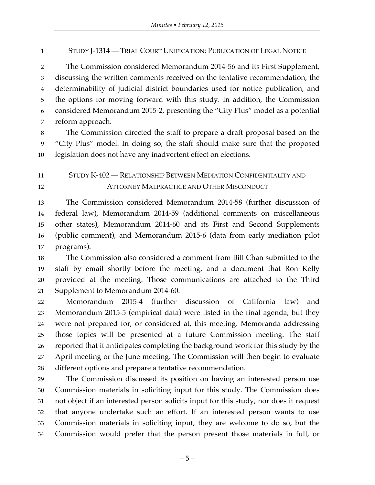STUDY J-1314 — TRIAL COURT UNIFICATION: PUBLICATION OF LEGAL NOTICE

 The Commission considered Memorandum 2014-56 and its First Supplement, discussing the written comments received on the tentative recommendation, the determinability of judicial district boundaries used for notice publication, and the options for moving forward with this study. In addition, the Commission considered Memorandum 2015-2, presenting the "City Plus" model as a potential reform approach.

 The Commission directed the staff to prepare a draft proposal based on the "City Plus" model. In doing so, the staff should make sure that the proposed legislation does not have any inadvertent effect on elections.

## STUDY K-402 — RELATIONSHIP BETWEEN MEDIATION CONFIDENTIALITY AND ATTORNEY MALPRACTICE AND OTHER MISCONDUCT

 The Commission considered Memorandum 2014-58 (further discussion of federal law), Memorandum 2014-59 (additional comments on miscellaneous other states), Memorandum 2014-60 and its First and Second Supplements (public comment), and Memorandum 2015-6 (data from early mediation pilot programs).

 The Commission also considered a comment from Bill Chan submitted to the staff by email shortly before the meeting, and a document that Ron Kelly provided at the meeting. Those communications are attached to the Third Supplement to Memorandum 2014-60.

 Memorandum 2015-4 (further discussion of California law) and Memorandum 2015-5 (empirical data) were listed in the final agenda, but they were not prepared for, or considered at, this meeting. Memoranda addressing those topics will be presented at a future Commission meeting. The staff reported that it anticipates completing the background work for this study by the April meeting or the June meeting. The Commission will then begin to evaluate different options and prepare a tentative recommendation.

 The Commission discussed its position on having an interested person use Commission materials in soliciting input for this study. The Commission does not object if an interested person solicits input for this study, nor does it request that anyone undertake such an effort. If an interested person wants to use Commission materials in soliciting input, they are welcome to do so, but the Commission would prefer that the person present those materials in full, or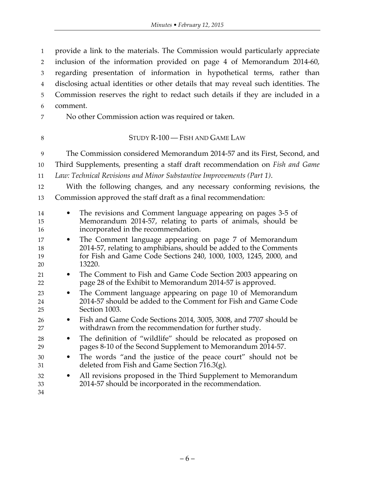provide a link to the materials. The Commission would particularly appreciate

 inclusion of the information provided on page 4 of Memorandum 2014-60, regarding presentation of information in hypothetical terms, rather than disclosing actual identities or other details that may reveal such identities. The Commission reserves the right to redact such details if they are included in a comment. No other Commission action was required or taken. 8 STUDY R-100 — FISH AND GAME LAW The Commission considered Memorandum 2014-57 and its First, Second, and Third Supplements, presenting a staff draft recommendation on *Fish and Game Law: Technical Revisions and Minor Substantive Improvements (Part 1)*. With the following changes, and any necessary conforming revisions, the Commission approved the staff draft as a final recommendation: • The revisions and Comment language appearing on pages 3-5 of Memorandum 2014-57, relating to parts of animals, should be incorporated in the recommendation. • The Comment language appearing on page 7 of Memorandum 2014-57, relating to amphibians, should be added to the Comments for Fish and Game Code Sections 240, 1000, 1003, 1245, 2000, and 13220. • The Comment to Fish and Game Code Section 2003 appearing on page 28 of the Exhibit to Memorandum 2014-57 is approved. • The Comment language appearing on page 10 of Memorandum 2014-57 should be added to the Comment for Fish and Game Code Section 1003. • Fish and Game Code Sections 2014, 3005, 3008, and 7707 should be withdrawn from the recommendation for further study. • The definition of "wildlife" should be relocated as proposed on pages 8-10 of the Second Supplement to Memorandum 2014-57. • The words "and the justice of the peace court" should not be deleted from Fish and Game Section 716.3(g). • All revisions proposed in the Third Supplement to Memorandum 2014-57 should be incorporated in the recommendation.